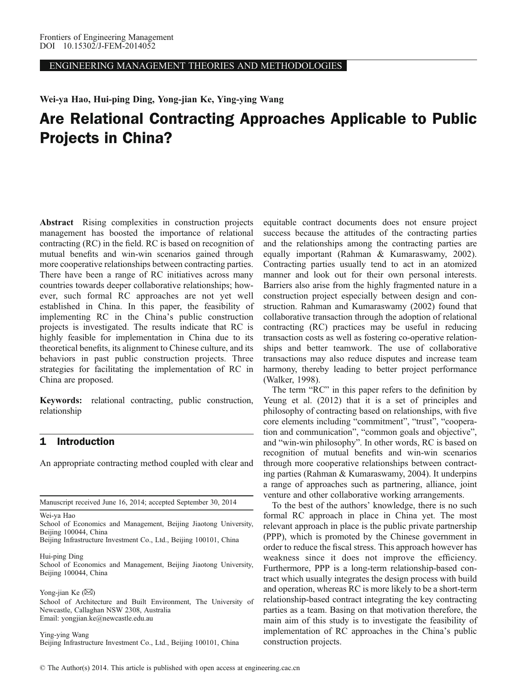ENGINEERING MANAGEMENT THEORIES AND METHODOLOGIES

Wei-ya Hao, Hui-ping Ding, Yong-jian Ke, Ying-ying Wang

# Are Relational Contracting Approaches Applicable to Public Projects in China?

Abstract Rising complexities in construction projects management has boosted the importance of relational contracting (RC) in the field. RC is based on recognition of mutual benefits and win-win scenarios gained through more cooperative relationships between contracting parties. There have been a range of RC initiatives across many countries towards deeper collaborative relationships; however, such formal RC approaches are not yet well established in China. In this paper, the feasibility of implementing RC in the China's public construction projects is investigated. The results indicate that RC is highly feasible for implementation in China due to its theoretical benefits, its alignment to Chinese culture, and its behaviors in past public construction projects. Three strategies for facilitating the implementation of RC in China are proposed.

Keywords: relational contracting, public construction, relationship

# 1 Introduction

An appropriate contracting method coupled with clear and

Manuscript received June 16, 2014; accepted September 30, 2014

Wei-ya Hao

School of Economics and Management, Beijing Jiaotong University, Beijing 100044, China

Beijing Infrastructure Investment Co., Ltd., Beijing 100101, China

Hui-ping Ding

School of Economics and Management, Beijing Jiaotong University, Beijing 100044, China

Yong-jian Ke  $(\boxtimes)$ School of Architecture and Built Environment, The University of Newcastle, Callaghan NSW 2308, Australia Email: yongjian.ke@newcastle.edu.au

Ying-ying Wang Beijing Infrastructure Investment Co., Ltd., Beijing 100101, China

equitable contract documents does not ensure project success because the attitudes of the contracting parties and the relationships among the contracting parties are equally important ([Rahman & Kumaraswamy, 2002](#page-4-0)). Contracting parties usually tend to act in an atomized manner and look out for their own personal interests. Barriers also arise from the highly fragmented nature in a construction project especially between design and construction. Rahman and Kumaraswamy ([2002\)](#page-4-0) found that collaborative transaction through the adoption of relational contracting (RC) practices may be useful in reducing transaction costs as well as fostering co-operative relationships and better teamwork. The use of collaborative transactions may also reduce disputes and increase team harmony, thereby leading to better project performance ([Walker, 1998\)](#page-5-0).

The term "RC" in this paper refers to the definition by Yeung et al. [\(2012](#page-5-0)) that it is a set of principles and philosophy of contracting based on relationships, with five core elements including "commitment", "trust", "cooperation and communication", "common goals and objective", and "win-win philosophy". In other words, RC is based on recognition of mutual benefits and win-win scenarios through more cooperative relationships between contracting parties ([Rahman & Kumaraswamy, 2004\)](#page-4-0). It underpins a range of approaches such as partnering, alliance, joint venture and other collaborative working arrangements.

To the best of the authors' knowledge, there is no such formal RC approach in place in China yet. The most relevant approach in place is the public private partnership (PPP), which is promoted by the Chinese government in order to reduce the fiscal stress. This approach however has weakness since it does not improve the efficiency. Furthermore, PPP is a long-term relationship-based contract which usually integrates the design process with build and operation, whereas RC is more likely to be a short-term relationship-based contract integrating the key contracting parties as a team. Basing on that motivation therefore, the main aim of this study is to investigate the feasibility of implementation of RC approaches in the China's public construction projects.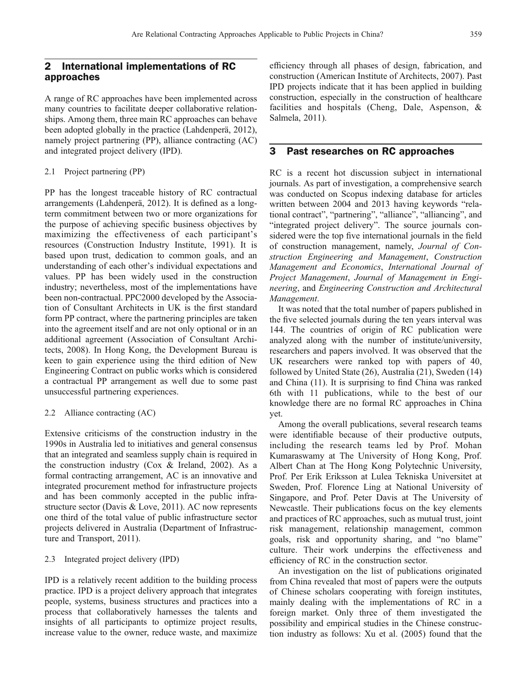# 2 International implementations of RC approaches

A range of RC approaches have been implemented across many countries to facilitate deeper collaborative relationships. Among them, three main RC approaches can behave been adopted globally in the practice [\(Lahdenperä, 2012](#page-4-0)), namely project partnering (PP), alliance contracting (AC) and integrated project delivery (IPD).

#### 2.1 Project partnering (PP)

PP has the longest traceable history of RC contractual arrangements [\(Lahdenperä, 2012](#page-4-0)). It is defined as a longterm commitment between two or more organizations for the purpose of achieving specific business objectives by maximizing the effectiveness of each participant's resources [\(Construction Industry Institute, 1991](#page-4-0)). It is based upon trust, dedication to common goals, and an understanding of each other's individual expectations and values. PP has been widely used in the construction industry; nevertheless, most of the implementations have been non-contractual. PPC2000 developed by the Association of Consultant Architects in UK is the first standard form PP contract, where the partnering principles are taken into the agreement itself and are not only optional or in an additional agreement ([Association of Consultant Archi](#page-4-0)[tects, 2008](#page-4-0)). In Hong Kong, the Development Bureau is keen to gain experience using the third edition of New Engineering Contract on public works which is considered a contractual PP arrangement as well due to some past unsuccessful partnering experiences.

#### 2.2 Alliance contracting (AC)

Extensive criticisms of the construction industry in the 1990s in Australia led to initiatives and general consensus that an integrated and seamless supply chain is required in the construction industry ([Cox & Ireland, 2002](#page-4-0)). As a formal contracting arrangement, AC is an innovative and integrated procurement method for infrastructure projects and has been commonly accepted in the public infrastructure sector [\(Davis & Love, 2011](#page-4-0)). AC now represents one third of the total value of public infrastructure sector projects delivered in Australia ([Department of Infrastruc](#page-4-0)[ture and Transport, 2011](#page-4-0)).

#### 2.3 Integrated project delivery (IPD)

IPD is a relatively recent addition to the building process practice. IPD is a project delivery approach that integrates people, systems, business structures and practices into a process that collaboratively harnesses the talents and insights of all participants to optimize project results, increase value to the owner, reduce waste, and maximize efficiency through all phases of design, fabrication, and construction ([American Institute of Architects, 2007](#page-4-0)). Past IPD projects indicate that it has been applied in building construction, especially in the construction of healthcare facilities and hospitals [\(Cheng, Dale, Aspenson, &](#page-4-0) [Salmela, 2011](#page-4-0)).

## 3 Past researches on RC approaches

RC is a recent hot discussion subject in international journals. As part of investigation, a comprehensive search was conducted on Scopus indexing database for articles written between 2004 and 2013 having keywords "relational contract", "partnering", "alliance", "alliancing", and "integrated project delivery". The source journals considered were the top five international journals in the field of construction management, namely, Journal of Construction Engineering and Management, Construction Management and Economics, International Journal of Project Management, Journal of Management in Engineering, and Engineering Construction and Architectural Management.

It was noted that the total number of papers published in the five selected journals during the ten years interval was 144. The countries of origin of RC publication were analyzed along with the number of institute/university, researchers and papers involved. It was observed that the UK researchers were ranked top with papers of 40, followed by United State (26), Australia (21), Sweden (14) and China (11). It is surprising to find China was ranked 6th with 11 publications, while to the best of our knowledge there are no formal RC approaches in China yet.

Among the overall publications, several research teams were identifiable because of their productive outputs, including the research teams led by Prof. Mohan Kumaraswamy at The University of Hong Kong, Prof. Albert Chan at The Hong Kong Polytechnic University, Prof. Per Erik Eriksson at Lulea Tekniska Universitet at Sweden, Prof. Florence Ling at National University of Singapore, and Prof. Peter Davis at The University of Newcastle. Their publications focus on the key elements and practices of RC approaches, such as mutual trust, joint risk management, relationship management, common goals, risk and opportunity sharing, and "no blame" culture. Their work underpins the effectiveness and efficiency of RC in the construction sector.

An investigation on the list of publications originated from China revealed that most of papers were the outputs of Chinese scholars cooperating with foreign institutes, mainly dealing with the implementations of RC in a foreign market. Only three of them investigated the possibility and empirical studies in the Chinese construction industry as follows: Xu et al. [\(2005](#page-5-0)) found that the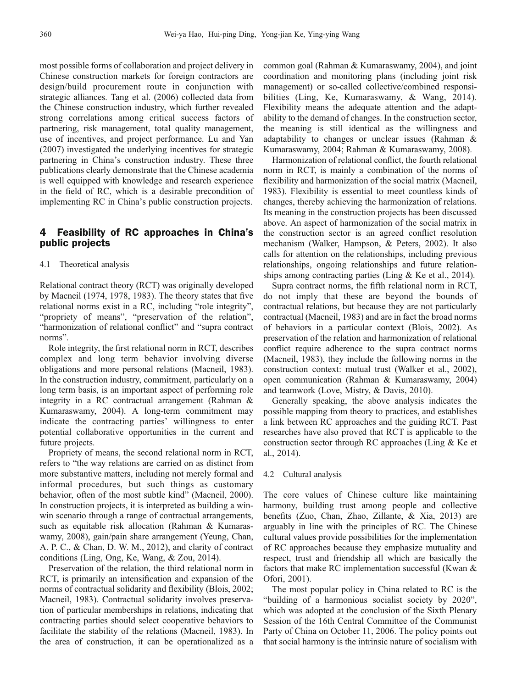most possible forms of collaboration and project delivery in Chinese construction markets for foreign contractors are design/build procurement route in conjunction with strategic alliances. Tang et al. [\(2006](#page-4-0)) collected data from the Chinese construction industry, which further revealed strong correlations among critical success factors of partnering, risk management, total quality management, use of incentives, and project performance. Lu and Yan ([2007\)](#page-4-0) investigated the underlying incentives for strategic partnering in China's construction industry. These three publications clearly demonstrate that the Chinese academia is well equipped with knowledge and research experience in the field of RC, which is a desirable precondition of implementing RC in China's public construction projects.

# 4 Feasibility of RC approaches in China's public projects

4.1 Theoretical analysis

Relational contract theory (RCT) was originally developed by Macneil ([1974, 1978](#page-4-0), [1983](#page-4-0)). The theory states that five relational norms exist in a RC, including "role integrity", "propriety of means", "preservation of the relation", "harmonization of relational conflict" and "supra contract norms".

Role integrity, the first relational norm in RCT, describes complex and long term behavior involving diverse obligations and more personal relations ([Macneil, 1983](#page-4-0)). In the construction industry, commitment, particularly on a long term basis, is an important aspect of performing role integrity in a RC contractual arrangement ([Rahman &](#page-4-0) [Kumaraswamy, 2004\)](#page-4-0). A long-term commitment may indicate the contracting parties' willingness to enter potential collaborative opportunities in the current and future projects.

Propriety of means, the second relational norm in RCT, refers to "the way relations are carried on as distinct from more substantive matters, including not merely formal and informal procedures, but such things as customary behavior, often of the most subtle kind" [\(Macneil, 2000](#page-4-0)). In construction projects, it is interpreted as building a winwin scenario through a range of contractual arrangements, such as equitable risk allocation ([Rahman & Kumaras](#page-4-0)[wamy, 2008](#page-4-0)), gain/pain share arrangement ([Yeung, Chan,](#page-5-0) [A. P. C., & Chan, D. W. M., 2012](#page-5-0)), and clarity of contract conditions [\(Ling, Ong, Ke, Wang, & Zou, 2014](#page-4-0)).

Preservation of the relation, the third relational norm in RCT, is primarily an intensification and expansion of the norms of contractual solidarity and flexibility [\(Blois, 2002](#page-4-0); [Macneil, 1983\)](#page-4-0). Contractual solidarity involves preservation of particular memberships in relations, indicating that contracting parties should select cooperative behaviors to facilitate the stability of the relations ([Macneil, 1983\)](#page-4-0). In the area of construction, it can be operationalized as a

common goal [\(Rahman & Kumaraswamy, 2004](#page-4-0)), and joint coordination and monitoring plans (including joint risk management) or so-called collective/combined responsibilities [\(Ling, Ke, Kumaraswamy, & Wang, 2014](#page-4-0)). Flexibility means the adequate attention and the adaptability to the demand of changes. In the construction sector, the meaning is still identical as the willingness and adaptability to changes or unclear issues [\(Rahman &](#page-4-0) [Kumaraswamy, 2004](#page-4-0); [Rahman & Kumaraswamy, 2008\)](#page-4-0).

Harmonization of relational conflict, the fourth relational norm in RCT, is mainly a combination of the norms of flexibility and harmonization of the social matrix ([Macneil,](#page-4-0) [1983](#page-4-0)). Flexibility is essential to meet countless kinds of changes, thereby achieving the harmonization of relations. Its meaning in the construction projects has been discussed above. An aspect of harmonization of the social matrix in the construction sector is an agreed conflict resolution mechanism ([Walker, Hampson, & Peters, 2002\)](#page-5-0). It also calls for attention on the relationships, including previous relationships, ongoing relationships and future relationships among contracting parties ([Ling & Ke et al., 2014](#page-4-0)).

Supra contract norms, the fifth relational norm in RCT, do not imply that these are beyond the bounds of contractual relations, but because they are not particularly contractual ([Macneil, 1983\)](#page-4-0) and are in fact the broad norms of behaviors in a particular context ([Blois, 2002](#page-4-0)). As preservation of the relation and harmonization of relational conflict require adherence to the supra contract norms ([Macneil, 1983\)](#page-4-0), they include the following norms in the construction context: mutual trust ([Walker et al., 2002](#page-5-0)), open communication [\(Rahman & Kumaraswamy, 2004\)](#page-4-0) and teamwork ([Love, Mistry, & Davis, 2010](#page-4-0)).

Generally speaking, the above analysis indicates the possible mapping from theory to practices, and establishes a link between RC approaches and the guiding RCT. Past researches have also proved that RCT is applicable to the construction sector through RC approaches ([Ling & Ke et](#page-4-0) [al., 2014](#page-4-0)).

#### 4.2 Cultural analysis

The core values of Chinese culture like maintaining harmony, building trust among people and collective benefits [\(Zuo, Chan, Zhao, Zillante, & Xia, 2013\)](#page-5-0) are arguably in line with the principles of RC. The Chinese cultural values provide possibilities for the implementation of RC approaches because they emphasize mutuality and respect, trust and friendship all which are basically the factors that make RC implementation successful [\(Kwan &](#page-4-0) [Ofori, 2001](#page-4-0)).

The most popular policy in China related to RC is the "building of a harmonious socialist society by 2020", which was adopted at the conclusion of the Sixth Plenary Session of the 16th Central Committee of the Communist Party of China on October 11, 2006. The policy points out that social harmony is the intrinsic nature of socialism with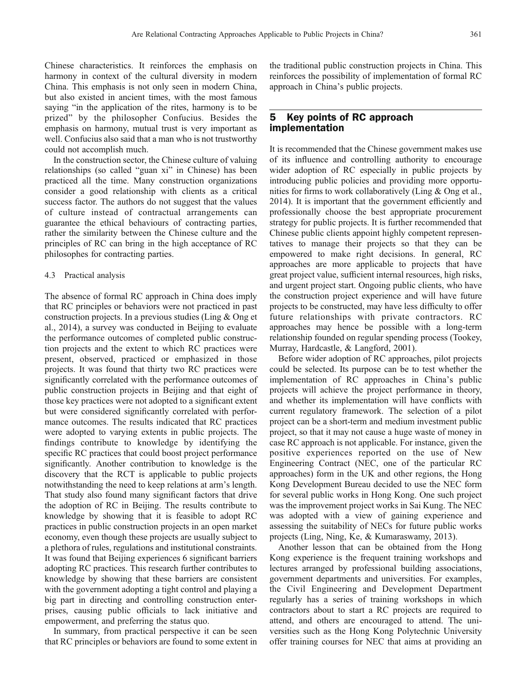Chinese characteristics. It reinforces the emphasis on harmony in context of the cultural diversity in modern China. This emphasis is not only seen in modern China, but also existed in ancient times, with the most famous saying "in the application of the rites, harmony is to be prized" by the philosopher Confucius. Besides the emphasis on harmony, mutual trust is very important as well. Confucius also said that a man who is not trustworthy could not accomplish much.

In the construction sector, the Chinese culture of valuing relationships (so called "guan xi" in Chinese) has been practiced all the time. Many construction organizations consider a good relationship with clients as a critical success factor. The authors do not suggest that the values of culture instead of contractual arrangements can guarantee the ethical behaviours of contracting parties, rather the similarity between the Chinese culture and the principles of RC can bring in the high acceptance of RC philosophes for contracting parties.

#### 4.3 Practical analysis

The absence of formal RC approach in China does imply that RC principles or behaviors were not practiced in past construction projects. In a previous studies [\(Ling & Ong et](#page-4-0) [al., 2014\)](#page-4-0), a survey was conducted in Beijing to evaluate the performance outcomes of completed public construction projects and the extent to which RC practices were present, observed, practiced or emphasized in those projects. It was found that thirty two RC practices were significantly correlated with the performance outcomes of public construction projects in Beijing and that eight of those key practices were not adopted to a significant extent but were considered significantly correlated with performance outcomes. The results indicated that RC practices were adopted to varying extents in public projects. The findings contribute to knowledge by identifying the specific RC practices that could boost project performance significantly. Another contribution to knowledge is the discovery that the RCT is applicable to public projects notwithstanding the need to keep relations at arm's length. That study also found many significant factors that drive the adoption of RC in Beijing. The results contribute to knowledge by showing that it is feasible to adopt RC practices in public construction projects in an open market economy, even though these projects are usually subject to a plethora of rules, regulations and institutional constraints. It was found that Beijing experiences 6 significant barriers adopting RC practices. This research further contributes to knowledge by showing that these barriers are consistent with the government adopting a tight control and playing a big part in directing and controlling construction enterprises, causing public officials to lack initiative and empowerment, and preferring the status quo.

In summary, from practical perspective it can be seen that RC principles or behaviors are found to some extent in the traditional public construction projects in China. This reinforces the possibility of implementation of formal RC approach in China's public projects.

# 5 Key points of RC approach implementation

It is recommended that the Chinese government makes use of its influence and controlling authority to encourage wider adoption of RC especially in public projects by introducing public policies and providing more opportunities for firms to work collaboratively ([Ling & Ong et al.,](#page-4-0) [2014](#page-4-0)). It is important that the government efficiently and professionally choose the best appropriate procurement strategy for public projects. It is further recommended that Chinese public clients appoint highly competent representatives to manage their projects so that they can be empowered to make right decisions. In general, RC approaches are more applicable to projects that have great project value, sufficient internal resources, high risks, and urgent project start. Ongoing public clients, who have the construction project experience and will have future projects to be constructed, may have less difficulty to offer future relationships with private contractors. RC approaches may hence be possible with a long-term relationship founded on regular spending process ([Tookey,](#page-4-0) [Murray, Hardcastle, & Langford, 2001\)](#page-4-0).

Before wider adoption of RC approaches, pilot projects could be selected. Its purpose can be to test whether the implementation of RC approaches in China's public projects will achieve the project performance in theory, and whether its implementation will have conflicts with current regulatory framework. The selection of a pilot project can be a short-term and medium investment public project, so that it may not cause a huge waste of money in case RC approach is not applicable. For instance, given the positive experiences reported on the use of New Engineering Contract (NEC, one of the particular RC approaches) form in the UK and other regions, the Hong Kong Development Bureau decided to use the NEC form for several public works in Hong Kong. One such project was the improvement project works in Sai Kung. The NEC was adopted with a view of gaining experience and assessing the suitability of NECs for future public works projects ([Ling, Ning, Ke, & Kumaraswamy, 2013](#page-4-0)).

Another lesson that can be obtained from the Hong Kong experience is the frequent training workshops and lectures arranged by professional building associations, government departments and universities. For examples, the Civil Engineering and Development Department regularly has a series of training workshops in which contractors about to start a RC projects are required to attend, and others are encouraged to attend. The universities such as the Hong Kong Polytechnic University offer training courses for NEC that aims at providing an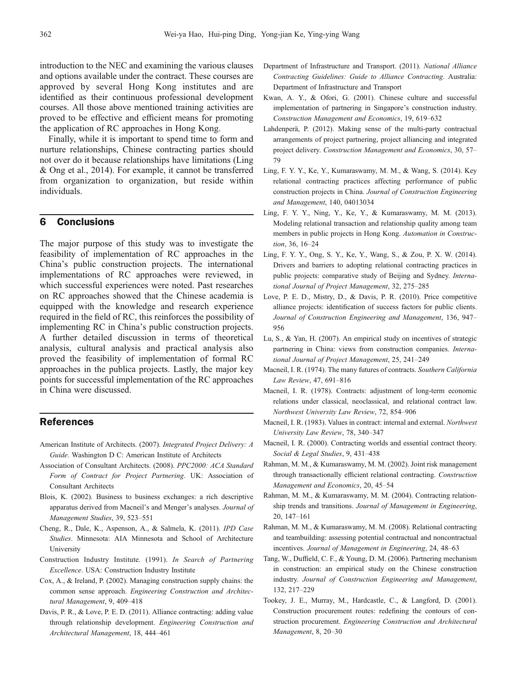<span id="page-4-0"></span>introduction to the NEC and examining the various clauses and options available under the contract. These courses are approved by several Hong Kong institutes and are identified as their continuous professional development courses. All those above mentioned training activities are proved to be effective and efficient means for promoting the application of RC approaches in Hong Kong.

Finally, while it is important to spend time to form and nurture relationships, Chinese contracting parties should not over do it because relationships have limitations (Ling & Ong et al., 2014). For example, it cannot be transferred from organization to organization, but reside within individuals.

### 6 Conclusions

The major purpose of this study was to investigate the feasibility of implementation of RC approaches in the China's public construction projects. The international implementations of RC approaches were reviewed, in which successful experiences were noted. Past researches on RC approaches showed that the Chinese academia is equipped with the knowledge and research experience required in the field of RC, this reinforces the possibility of implementing RC in China's public construction projects. A further detailed discussion in terms of theoretical analysis, cultural analysis and practical analysis also proved the feasibility of implementation of formal RC approaches in the publica projects. Lastly, the major key points for successful implementation of the RC approaches in China were discussed.

# References

- American Institute of Architects. (2007). Integrated Project Delivery: A Guide. Washington D C: American Institute of Architects
- Association of Consultant Architects. (2008). PPC2000: ACA Standard Form of Contract for Project Partnering. UK: Association of Consultant Architects
- Blois, K. (2002). Business to business exchanges: a rich descriptive apparatus derived from Macneil's and Menger's analyses. Journal of Management Studies, 39, 523–551
- Cheng, R., Dale, K., Aspenson, A., & Salmela, K. (2011). IPD Case Studies. Minnesota: AIA Minnesota and School of Architecture University
- Construction Industry Institute. (1991). In Search of Partnering Excellence. USA: Construction Industry Institute
- Cox, A., & Ireland, P. (2002). Managing construction supply chains: the common sense approach. Engineering Construction and Architectural Management, 9, 409–418
- Davis, P. R., & Love, P. E. D. (2011). Alliance contracting: adding value through relationship development. Engineering Construction and Architectural Management, 18, 444–461
- Department of Infrastructure and Transport. (2011). National Alliance Contracting Guidelines: Guide to Alliance Contracting. Australia: Department of Infrastructure and Transport
- Kwan, A. Y., & Ofori, G. (2001). Chinese culture and successful implementation of partnering in Singapore's construction industry. Construction Management and Economics, 19, 619–632
- Lahdenperä, P. (2012). Making sense of the multi-party contractual arrangements of project partnering, project alliancing and integrated project delivery. Construction Management and Economics, 30, 57– 79
- Ling, F. Y. Y., Ke, Y., Kumaraswamy, M. M., & Wang, S. (2014). Key relational contracting practices affecting performance of public construction projects in China. Journal of Construction Engineering and Management, 140, 04013034
- Ling, F. Y. Y., Ning, Y., Ke, Y., & Kumaraswamy, M. M. (2013). Modeling relational transaction and relationship quality among team members in public projects in Hong Kong. Automation in Construction, 36, 16–24
- Ling, F. Y. Y., Ong, S. Y., Ke, Y., Wang, S., & Zou, P. X. W. (2014). Drivers and barriers to adopting relational contracting practices in public projects: comparative study of Beijing and Sydney. International Journal of Project Management, 32, 275–285
- Love, P. E. D., Mistry, D., & Davis, P. R. (2010). Price competitive alliance projects: identification of success factors for public clients. Journal of Construction Engineering and Management, 136, 947– 956
- Lu, S., & Yan, H. (2007). An empirical study on incentives of strategic partnering in China: views from construction companies. International Journal of Project Management, 25, 241–249
- Macneil, I. R. (1974). The many futures of contracts. Southern California Law Review, 47, 691–816
- Macneil, I. R. (1978). Contracts: adjustment of long-term economic relations under classical, neoclassical, and relational contract law. Northwest University Law Review, 72, 854–906
- Macneil, I. R. (1983). Values in contract: internal and external. Northwest University Law Review, 78, 340–347
- Macneil, I. R. (2000). Contracting worlds and essential contract theory. Social & Legal Studies, 9, 431–438
- Rahman, M. M., & Kumaraswamy, M. M. (2002). Joint risk management through transactionally efficient relational contracting. Construction Management and Economics, 20, 45–54
- Rahman, M. M., & Kumaraswamy, M. M. (2004). Contracting relationship trends and transitions. Journal of Management in Engineering, 20, 147–161
- Rahman, M. M., & Kumaraswamy, M. M. (2008). Relational contracting and teambuilding: assessing potential contractual and noncontractual incentives. Journal of Management in Engineering, 24, 48–63
- Tang, W., Duffield, C. F., & Young, D. M. (2006). Partnering mechanism in construction: an empirical study on the Chinese construction industry. Journal of Construction Engineering and Management, 132, 217–229
- Tookey, J. E., Murray, M., Hardcastle, C., & Langford, D. (2001). Construction procurement routes: redefining the contours of construction procurement. Engineering Construction and Architectural Management, 8, 20–30